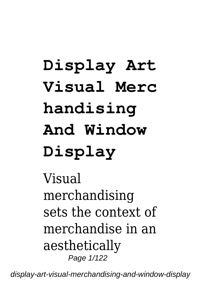# **Display Art Visual Merc handising And Window Display**

Visual merchandising sets the context of merchandise in an aesthetically Page 1/122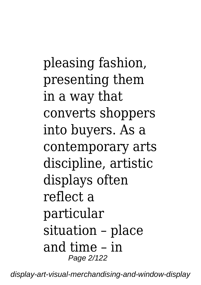pleasing fashion, presenting them in a way that converts shoppers into buyers. As a contemporary arts discipline, artistic displays often reflect a particular situation – place and time – in Page 2/122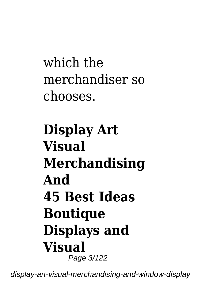which the merchandiser so chooses.

## **Display Art Visual Merchandising And 45 Best Ideas Boutique Displays and Visual** Page 3/122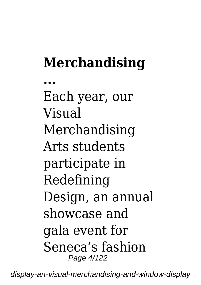## **Merchandising**

**...** Each year, our Visual Merchandising Arts students participate in Redefining Design, an annual showcase and gala event for Seneca's fashion Page 4/122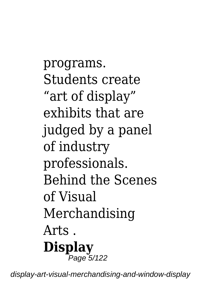programs. Students create "art of display" exhibits that are judged by a panel of industry professionals. Behind the Scenes of Visual Merchandising Arts . **Display** .<br>Page 5/122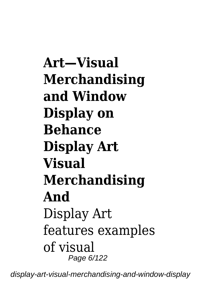**Art—Visual Merchandising and Window Display on Behance Display Art Visual Merchandising And** Display Art features examples of visual Page 6/122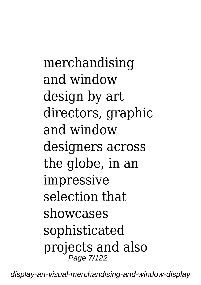merchandising and window design by art directors, graphic and window designers across the globe, in an impressive selection that showcases sophisticated projects and also Page 7/122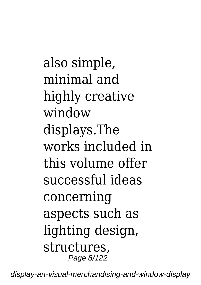also simple, minimal and highly creative window displays.The works included in this volume offer successful ideas concerning aspects such as lighting design, structures, Page 8/122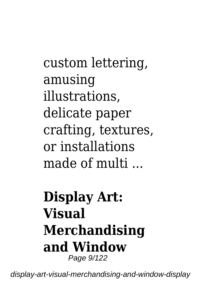custom lettering, amusing illustrations, delicate paper crafting, textures, or installations made of multi

#### **Display Art: Visual Merchandising and Window** Page 9/122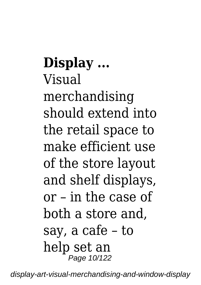**Display ...** Visual merchandising should extend into the retail space to make efficient use of the store layout and shelf displays, or – in the case of both a store and, say, a cafe – to help set an Page 10/122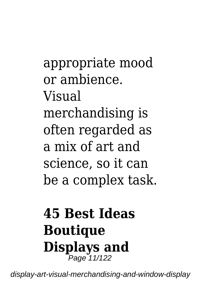appropriate mood or ambience. Visual merchandising is often regarded as a mix of art and science, so it can be a complex task.

#### **45 Best Ideas Boutique Displays and** .<br>Page 11/122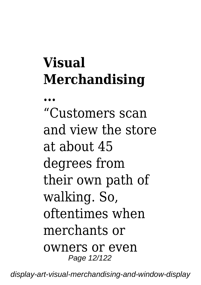## **Visual Merchandising**

**...**

"Customers scan and view the store at about 45 degrees from their own path of walking. So, oftentimes when merchants or owners or even Page 12/122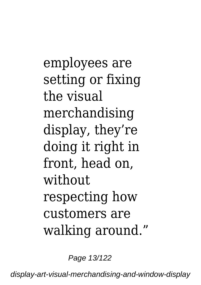employees are setting or fixing the visual merchandising display, they're doing it right in front, head on, without respecting how customers are walking around."

Page 13/122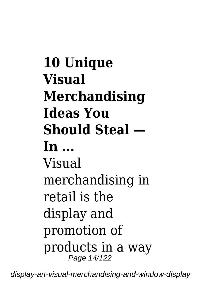**10 Unique Visual Merchandising Ideas You Should Steal — In ...** Visual merchandising in retail is the display and promotion of products in a way Page 14/122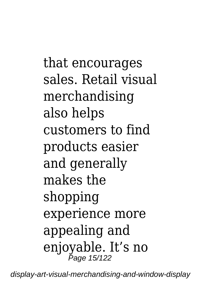that encourages sales. Retail visual merchandising also helps customers to find products easier and generally makes the shopping experience more appealing and enjoyable. It's no Page 15/122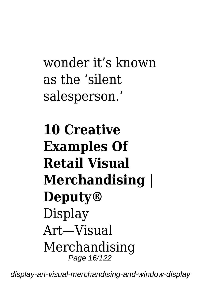## wonder it's known as the 'silent salesperson.'

## **10 Creative Examples Of Retail Visual Merchandising | Deputy®** Display Art—Visual Merchandising Page 16/122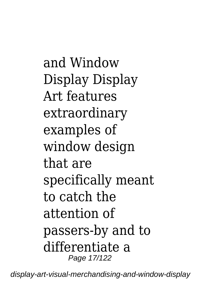and Window Display Display Art features extraordinary examples of window design that are specifically meant to catch the attention of passers-by and to differentiate a Page 17/122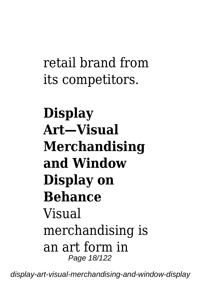#### retail brand from its competitors.

## **Display Art—Visual Merchandising and Window Display on Behance** Visual merchandising is an art form in Page 18/122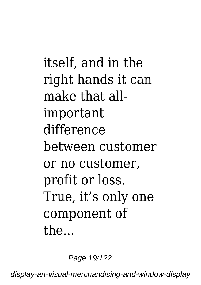itself, and in the right hands it can make that allimportant difference between customer or no customer, profit or loss. True, it's only one component of the...

Page 19/122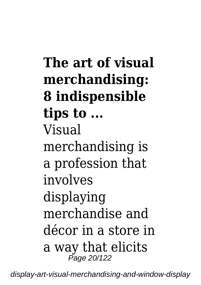**The art of visual merchandising: 8 indispensible tips to ...** Visual merchandising is a profession that involves displaying merchandise and décor in a store in a way that elicits Page 20/122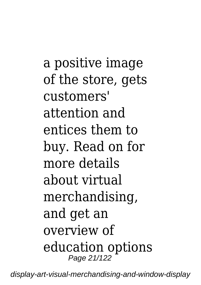a positive image of the store, gets customers' attention and entices them to buy. Read on for more details about virtual merchandising, and get an overview of education options Page 21/122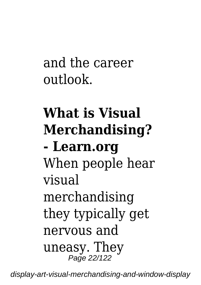and the career outlook.

## **What is Visual Merchandising? - Learn.org** When people hear visual merchandising they typically get nervous and uneasy. They Page 22/122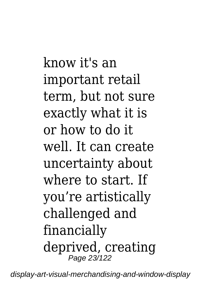know it's an important retail term, but not sure exactly what it is or how to do it well. It can create uncertainty about where to start. If you're artistically challenged and financially deprived, creating Page 23/122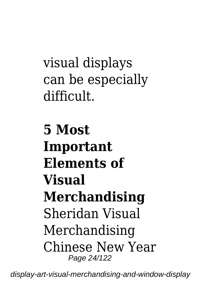visual displays can be especially difficult.

**5 Most Important Elements of Visual Merchandising** Sheridan Visual Merchandising Chinese New Year Page 24/122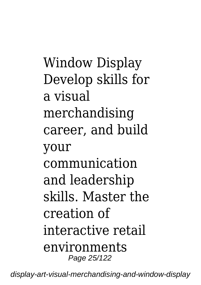Window Display Develop skills for a visual merchandising career, and build your communication and leadership skills. Master the creation of interactive retail environments Page 25/122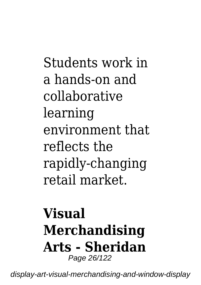Students work in a hands-on and collaborative learning environment that reflects the rapidly-changing retail market.

#### **Visual Merchandising Arts - Sheridan** Page 26/122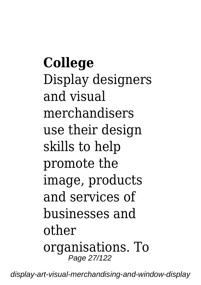**College** Display designers and visual merchandisers use their design skills to help promote the image, products and services of businesses and other organisations. To Page 27/122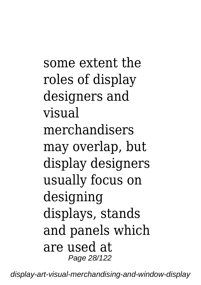some extent the roles of display designers and visual merchandisers may overlap, but display designers usually focus on designing displays, stands and panels which are used at Page 28/122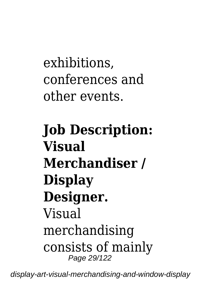exhibitions, conferences and other events.

## **Job Description: Visual Merchandiser / Display Designer.** Visual merchandising consists of mainly Page 29/122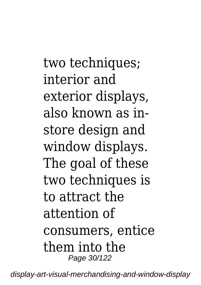two techniques: interior and exterior displays, also known as instore design and window displays. The goal of these two techniques is to attract the attention of consumers, entice them into the Page 30/122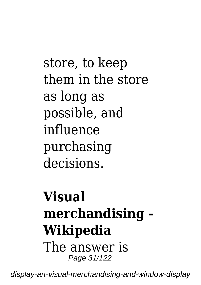store, to keep them in the store as long as possible, and influence purchasing decisions.

#### **Visual merchandising - Wikipedia** The answer is Page 31/122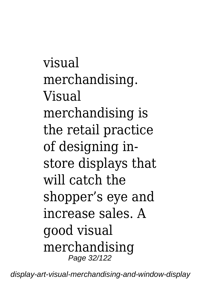visual merchandising. Visual merchandising is the retail practice of designing instore displays that will catch the shopper's eye and increase sales. A good visual merchandising Page 32/122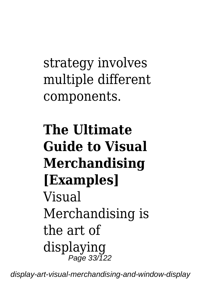strategy involves multiple different components.

## **The Ultimate Guide to Visual Merchandising [Examples]** Visual Merchandising is the art of displaying Page 33/122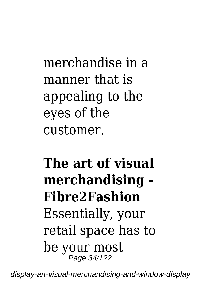merchandise in a manner that is appealing to the eyes of the customer.

#### **The art of visual merchandising - Fibre2Fashion** Essentially, your retail space has to be your most Page 34/122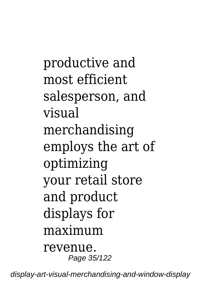productive and most efficient salesperson, and visual merchandising employs the art of optimizing your retail store and product displays for maximum revenue. Page 35/122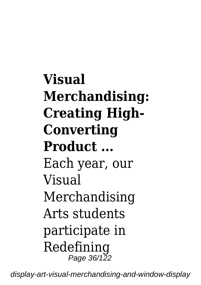**Visual Merchandising: Creating High-Converting Product ...** Each year, our Visual Merchandising Arts students participate in Redefining Page 36/122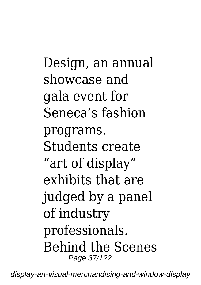Design, an annual showcase and gala event for Seneca's fashion programs. Students create "art of display" exhibits that are judged by a panel of industry professionals. Behind the Scenes Page 37/122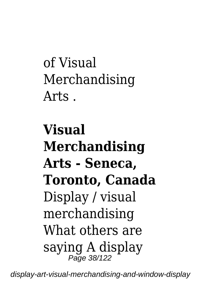of Visual Merchandising  $Arts$ 

**Visual Merchandising Arts - Seneca, Toronto, Canada** Display / visual merchandising What others are saying A display Page 38/122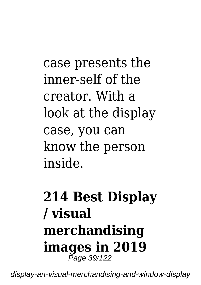case presents the inner-self of the creator. With a look at the display case, you can know the person inside.

### **214 Best Display / visual merchandising images in 2019** Page 39/122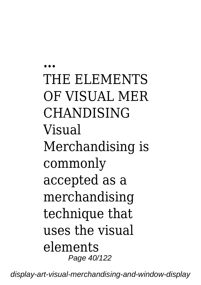**...** THE ELEMENTS OF VISUAL MER CHANDISING Visual Merchandising is commonly accepted as a merchandising technique that uses the visual elements Page 40/122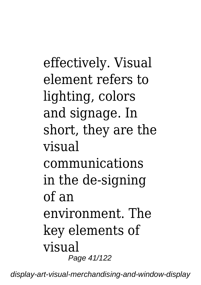effectively. Visual element refers to lighting, colors and signage. In short, they are the visual communications in the de-signing of an environment. The key elements of visual Page 41/122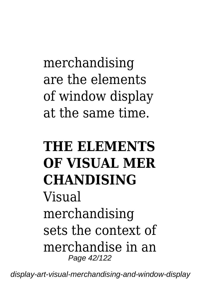merchandising are the elements of window display at the same time.

## **THE ELEMENTS OF VISUAL MER CHANDISING** Visual merchandising sets the context of merchandise in an Page 42/122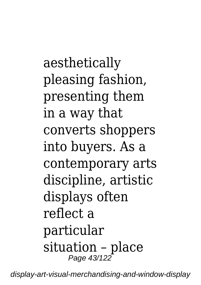aesthetically pleasing fashion, presenting them in a way that converts shoppers into buyers. As a contemporary arts discipline, artistic displays often reflect a particular situation – place Page 43/122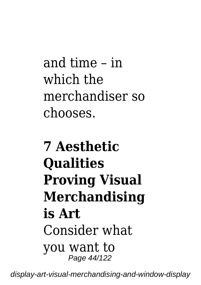and time – in which the merchandiser so chooses.

# **7 Aesthetic Qualities Proving Visual Merchandising is Art** Consider what you want to Page 44/122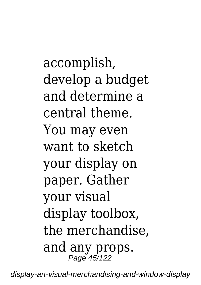accomplish, develop a budget and determine a central theme. You may even want to sketch your display on paper. Gather your visual display toolbox, the merchandise, and any props. Page 45/122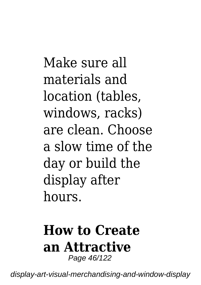Make sure all materials and location (tables, windows, racks) are clean. Choose a slow time of the day or build the display after hours.

#### **How to Create an Attractive** Page 46/122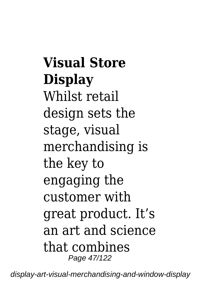**Visual Store Display** Whilst retail design sets the stage, visual merchandising is the key to engaging the customer with great product. It's an art and science that combines Page 47/122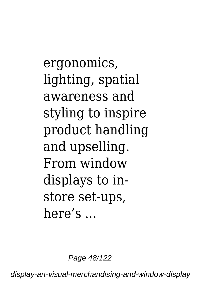ergonomics, lighting, spatial awareness and styling to inspire product handling and upselling. From window displays to instore set-ups, here's ...

Page 48/122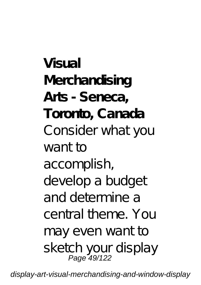**Visual Merchandising Arts - Seneca, Toronto, Canada** Consider what you want to accomplish, develop a budget and determine a central theme. You may even want to sketch your display<br>Page 49/122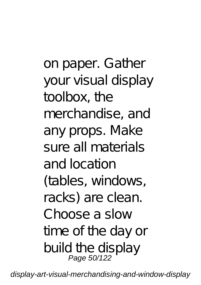on paper. Gather your visual display toolbox, the merchandise, and any props. Make sure all materials and location (tables, windows, racks) are clean. Choose a slow time of the day or build the display Page 50/122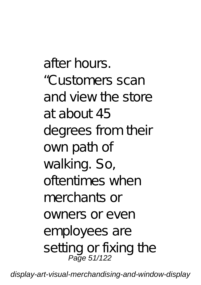after hours. "Customers scan and view the store at about 45 degrees from their own path of walking. So, oftentimes when merchants or owners or even employees are setting or fixing the Page 51/122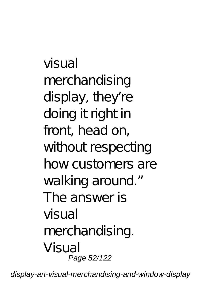visual merchandising display, they're doing it right in front, head on, without respecting how customers are walking around." The answer is visual merchandising. Visual Page 52/122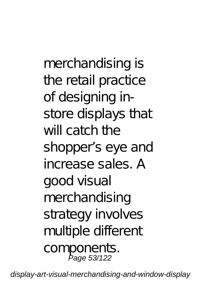merchandising is the retail practice of designing instore displays that will catch the shopper's eye and increase sales. A good visual merchandising strategy involves multiple different components.<br>Page 53/122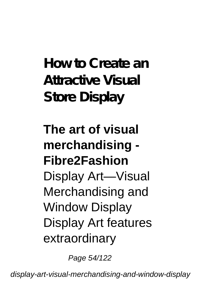**How to Create an Attractive Visual Store Display**

## **The art of visual merchandising - Fibre2Fashion** Display Art—Visual Merchandising and Window Display Display Art features extraordinary

Page 54/122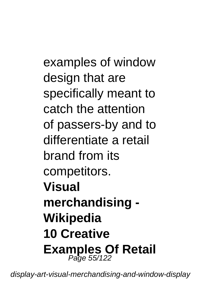examples of window design that are specifically meant to catch the attention of passers-by and to differentiate a retail brand from its competitors. **Visual merchandising - Wikipedia 10 Creative Examples Of Retail** Page 55/122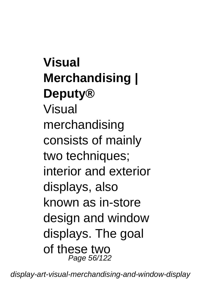**Visual Merchandising | Deputy®** Visual merchandising consists of mainly two techniques; interior and exterior displays, also known as in-store design and window displays. The goal of these two Page 56/122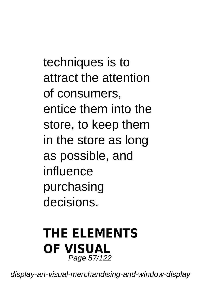techniques is to attract the attention of consumers, entice them into the store, to keep them in the store as long as possible, and influence purchasing decisions.

#### **THE ELEMENTS OF VISUAL** Page 57/122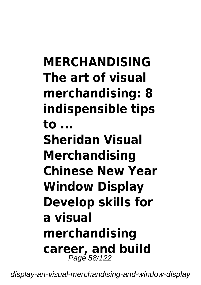**MERCHANDISING The art of visual merchandising: 8 indispensible tips to ... Sheridan Visual Merchandising Chinese New Year Window Display Develop skills for a visual merchandising career, and build** Page 58/122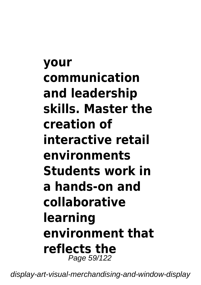**your communication and leadership skills. Master the creation of interactive retail environments Students work in a hands-on and collaborative learning environment that reflects the** Page 59/122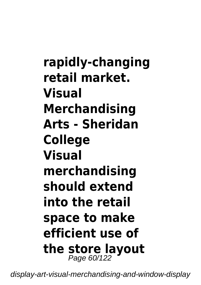**rapidly-changing retail market. Visual Merchandising Arts - Sheridan College Visual merchandising should extend into the retail space to make efficient use of the store layout** Page 60/122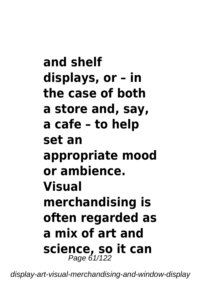**and shelf displays, or – in the case of both a store and, say, a cafe – to help set an appropriate mood or ambience. Visual merchandising is often regarded as a mix of art and science, so it can** Page 61/122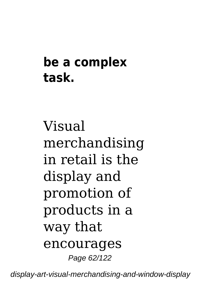### **be a complex task.**

Visual merchandising in retail is the display and promotion of products in a way that encourages Page 62/122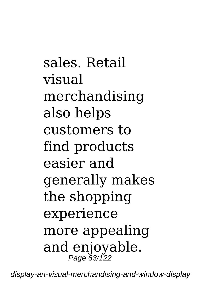sales. Retail visual merchandising also helps customers to find products easier and generally makes the shopping experience more appealing and enjoyable. Page 63/122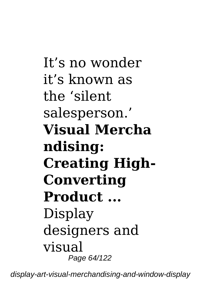It's no wonder it's known as the 'silent salesperson.' **Visual Mercha ndising: Creating High-Converting Product ...** Display designers and visual Page 64/122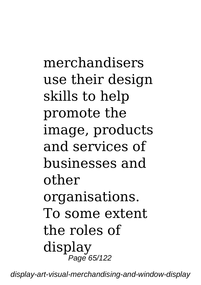merchandisers use their design skills to help promote the image, products and services of businesses and other organisations. To some extent the roles of display Page 65/122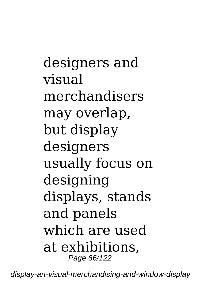designers and visual merchandisers may overlap, but display designers usually focus on designing displays, stands and panels which are used at exhibitions, Page 66/122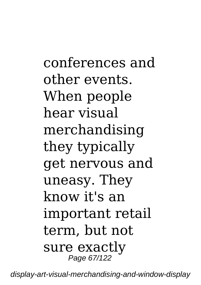conferences and other events. When people hear visual merchandising they typically get nervous and uneasy. They know it's an important retail term, but not sure exactly Page 67/122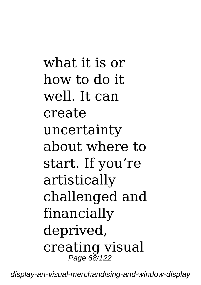what it is or how to do it well. It can create uncertainty about where to start. If you're artistically challenged and financially deprived, creating visual Page 68/122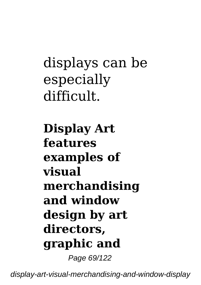# displays can be especially difficult.

**Display Art features examples of visual merchandising and window design by art directors, graphic and** Page 69/122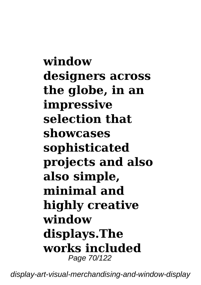**window designers across the globe, in an impressive selection that showcases sophisticated projects and also also simple, minimal and highly creative window displays.The works included** Page 70/122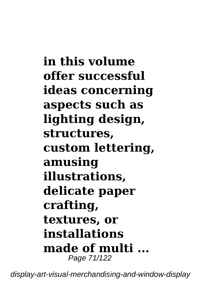**in this volume offer successful ideas concerning aspects such as lighting design, structures, custom lettering, amusing illustrations, delicate paper crafting, textures, or installations made of multi ...** Page 71/122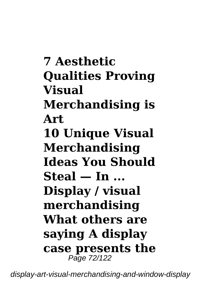**7 Aesthetic Qualities Proving Visual Merchandising is Art 10 Unique Visual Merchandising Ideas You Should Steal — In ... Display / visual merchandising What others are saying A display case presents the** Page 72/122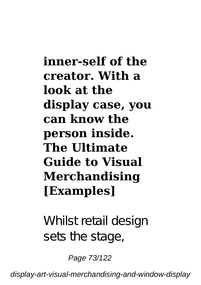#### **inner-self of the creator. With a look at the display case, you can know the person inside. The Ultimate Guide to Visual Merchandising [Examples]**

Whilst retail design sets the stage,

Page 73/122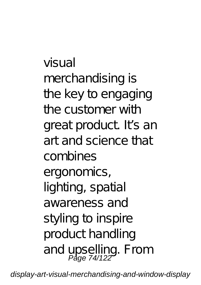visual merchandising is the key to engaging the customer with great product. It's an art and science that combines ergonomics, lighting, spatial awareness and styling to inspire product handling and upselling. From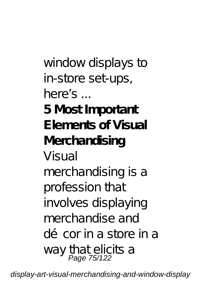window displays to in-store set-ups, here's ... **5 Most Important Elements of Visual Merchandising** Visual merchandising is a profession that involves displaying merchandise and décor in a store in a way that elicits a<br>Page 75/122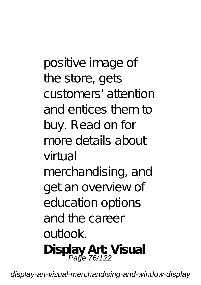positive image of the store, gets customers' attention and entices them to buy. Read on for more details about  $v$ irtual merchandising, and get an overview of education options and the career outlook. **Display Art: Visual** Page 76/122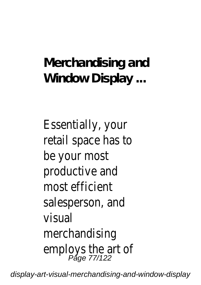## **Merchandising and Window Display ...**

Essentially, your retail space has to be your most productive and most efficient salesperson, and visual merchandising employs the art of Page 77/122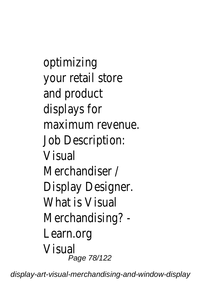optimizing your retail store and product displays for maximum revenue. Job Description: Visual Merchandiser / Display Designer. What is Visual Merchandising? - Learn.org Visual Page 78/122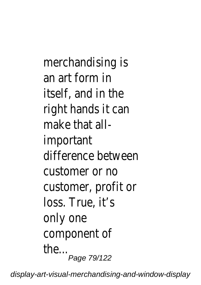merchandising is an art form in itself, and in the right hands it can make that allimportant difference between customer or no customer, profit or loss. True, it's only one component of the... .<br>*Page 79/122*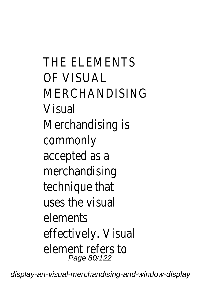THE ELEMENTS OF VISUAL **MERCHANDISING** Visual Merchandising is commonly accepted as a merchandising technique that uses the visual elements effectively. Visual element refers to Page 80/122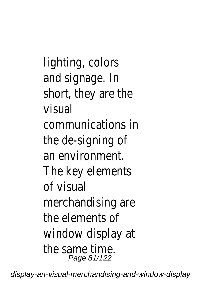lighting, colors and signage. In short, they are the visual communications in the de-signing of an environment. The key elements of visual merchandising are the elements of window display at the same time. Page 81/122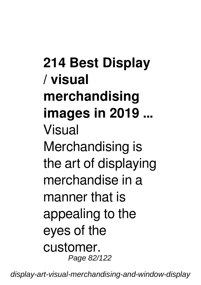**214 Best Display / visual merchandising images in 2019 ...** Visual Merchandising is the art of displaying merchandise in a manner that is appealing to the eyes of the customer. Page 82/122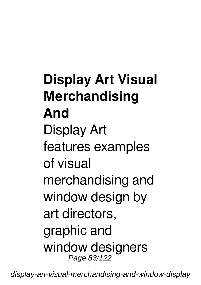# **Display Art Visual Merchandising And** Display Art features examples of visual merchandising and window design by art directors, graphic and window designers Page 83/122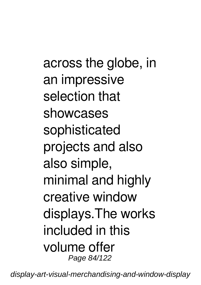across the globe, in an impressive selection that showcases sophisticated projects and also also simple, minimal and highly creative window displays.The works included in this volume offer Page 84/122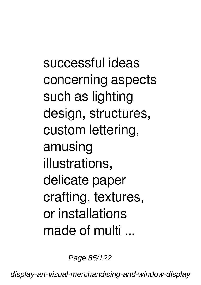successful ideas concerning aspects such as lighting design, structures, custom lettering, amusing illustrations, delicate paper crafting, textures, or installations made of multi

Page 85/122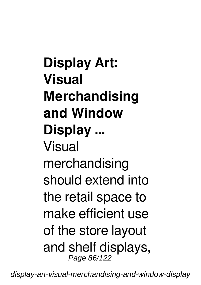**Display Art: Visual Merchandising and Window Display ...** Visual merchandising should extend into the retail space to make efficient use of the store layout and shelf displays, Page 86/122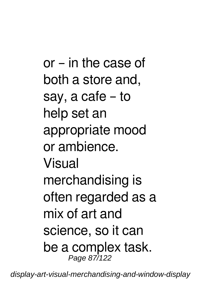or – in the case of both a store and, say, a cafe – to help set an appropriate mood or ambience. Visual merchandising is often regarded as a mix of art and science, so it can be a complex task. Page 87/122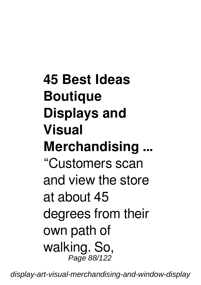**45 Best Ideas Boutique Displays and Visual Merchandising ...** "Customers scan and view the store at about 45 degrees from their own path of walking. So, Page 88/122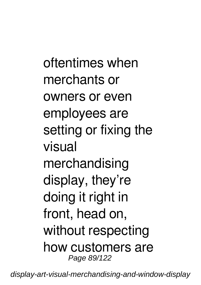oftentimes when merchants or owners or even employees are setting or fixing the visual merchandising display, they're doing it right in front, head on, without respecting how customers are Page 89/122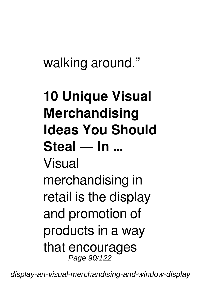# walking around."

# **10 Unique Visual Merchandising Ideas You Should Steal — In ...** Visual merchandising in retail is the display and promotion of products in a way that encourages Page 90/122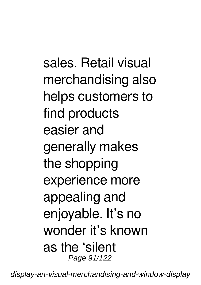sales. Retail visual merchandising also helps customers to find products easier and generally makes the shopping experience more appealing and enjoyable. It's no wonder it's known as the 'silent Page 91/122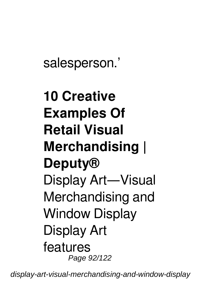salesperson.'

# **10 Creative Examples Of Retail Visual Merchandising | Deputy®** Display Art—Visual Merchandising and Window Display Display Art features Page 92/122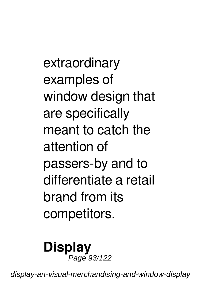extraordinary examples of window design that are specifically meant to catch the attention of passers-by and to differentiate a retail brand from its competitors.

#### **Display** Page 93/122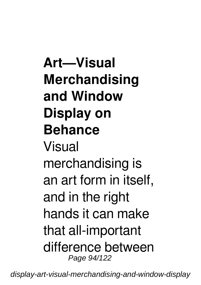**Art—Visual Merchandising and Window Display on Behance** Visual merchandising is an art form in itself, and in the right hands it can make that all-important difference between Page 94/122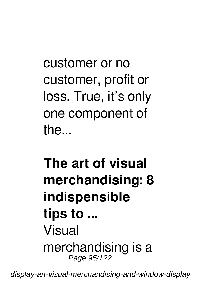customer or no customer, profit or loss. True, it's only one component of the...

## **The art of visual merchandising: 8 indispensible tips to ...** Visual merchandising is a Page 95/122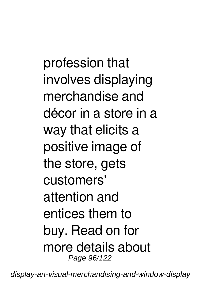profession that involves displaying merchandise and décor in a store in a way that elicits a positive image of the store, gets customers' attention and entices them to buy. Read on for more details about Page 96/122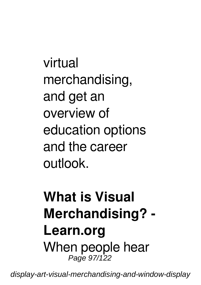virtual merchandising, and get an overview of education options and the career outlook.

## **What is Visual Merchandising? - Learn.org** When people hear Page 97/122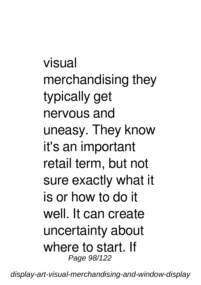visual merchandising they typically get nervous and uneasy. They know it's an important retail term, but not sure exactly what it is or how to do it well. It can create uncertainty about where to start. If Page 98/122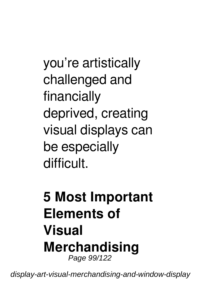you're artistically challenged and financially deprived, creating visual displays can be especially difficult.

## **5 Most Important Elements of Visual Merchandising** Page 99/122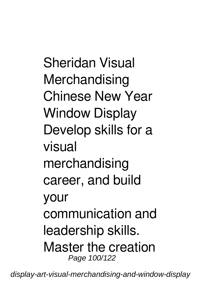Sheridan Visual **Merchandising** Chinese New Year Window Display Develop skills for a visual merchandising career, and build your communication and leadership skills. Master the creation Page 100/122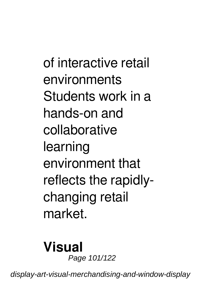of interactive retail environments Students work in a hands-on and collaborative learning environment that reflects the rapidlychanging retail market.

#### **Visual** Page 101/122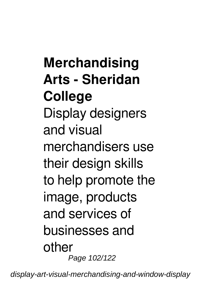**Merchandising Arts - Sheridan College** Display designers and visual merchandisers use their design skills to help promote the image, products and services of businesses and other Page 102/122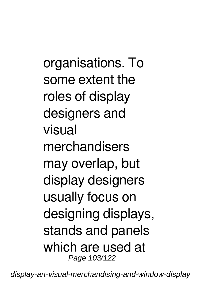organisations. To some extent the roles of display designers and visual merchandisers may overlap, but display designers usually focus on designing displays, stands and panels which are used at Page 103/122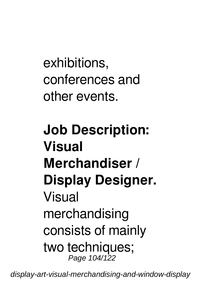exhibitions, conferences and other events.

## **Job Description: Visual Merchandiser / Display Designer.** Visual merchandising consists of mainly two techniques; Page 104/122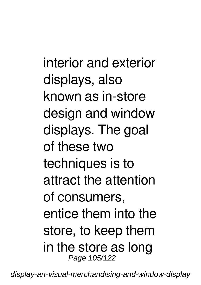interior and exterior displays, also known as in-store design and window displays. The goal of these two techniques is to attract the attention of consumers, entice them into the store, to keep them in the store as long Page 105/122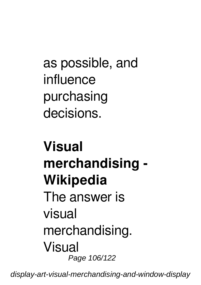as possible, and influence purchasing decisions.

## **Visual merchandising - Wikipedia** The answer is visual merchandising. Visual Page 106/122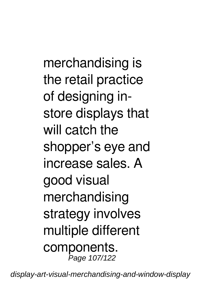merchandising is the retail practice of designing instore displays that will catch the shopper's eye and increase sales. A good visual merchandising strategy involves multiple different components. Page 107/122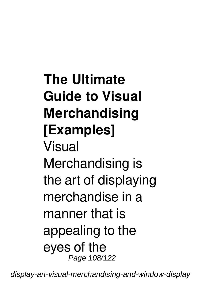# **The Ultimate Guide to Visual Merchandising [Examples]** Visual Merchandising is the art of displaying merchandise in a manner that is appealing to the eyes of the Page 108/122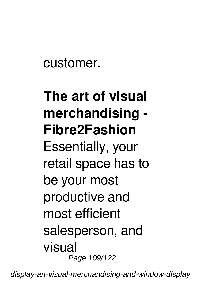customer.

# **The art of visual merchandising - Fibre2Fashion**

Essentially, your retail space has to be your most productive and most efficient salesperson, and visual Page 109/122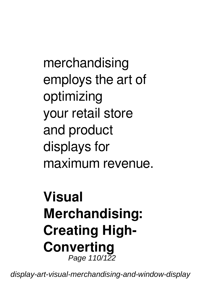merchandising employs the art of optimizing your retail store and product displays for maximum revenue.

#### **Visual Merchandising: Creating High-Converting** Page 110/122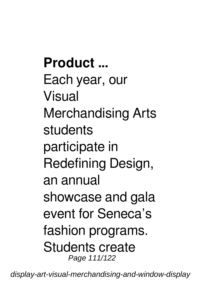**Product ...** Each year, our Visual Merchandising Arts students participate in Redefining Design, an annual showcase and gala event for Seneca's fashion programs. Students create Page 111/122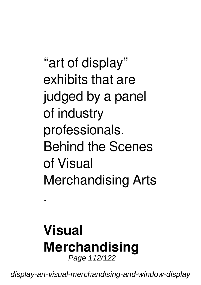"art of display" exhibits that are judged by a panel of industry professionals. Behind the Scenes of Visual Merchandising Arts

#### **Visual Merchandising** Page 112/122

.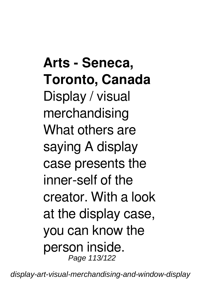**Arts - Seneca, Toronto, Canada** Display / visual merchandising What others are saying A display case presents the inner-self of the creator. With a look at the display case, you can know the person inside. Page 113/122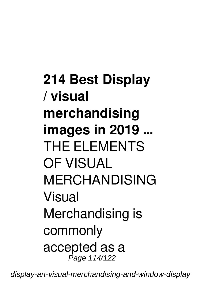**214 Best Display / visual merchandising images in 2019 ...** THE FLEMENTS OF VISUAL MERCHANDISING Visual Merchandising is commonly accepted as a Page 114/122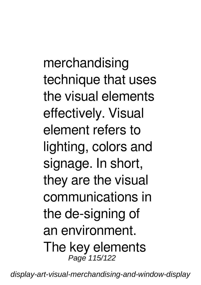merchandising technique that uses the visual elements effectively. Visual element refers to lighting, colors and signage. In short, they are the visual communications in the de-signing of an environment. The key elements Page 115/122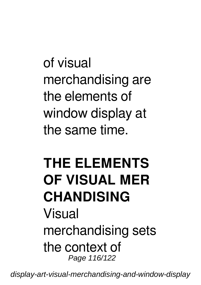of visual merchandising are the elements of window display at the same time.

### **THE ELEMENTS OF VISUAL MER CHANDISING** Visual merchandising sets the context of Page 116/122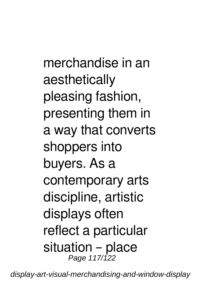merchandise in an aesthetically pleasing fashion, presenting them in a way that converts shoppers into buyers. As a contemporary arts discipline, artistic displays often reflect a particular situation – place Page 117/122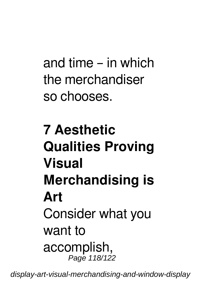and time – in which the merchandiser so chooses.

## **7 Aesthetic Qualities Proving Visual Merchandising is Art** Consider what you want to accomplish, Page 118/122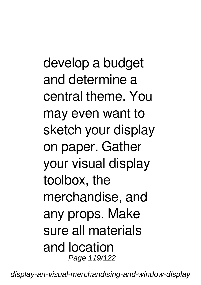develop a budget and determine a central theme. You may even want to sketch your display on paper. Gather your visual display toolbox, the merchandise, and any props. Make sure all materials and location Page 119/122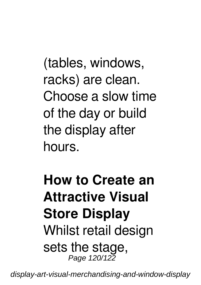(tables, windows, racks) are clean. Choose a slow time of the day or build the display after hours.

#### **How to Create an Attractive Visual Store Display** Whilst retail design sets the stage, Page 120/122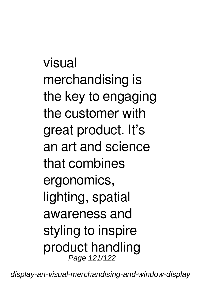visual merchandising is the key to engaging the customer with great product. It's an art and science that combines ergonomics, lighting, spatial awareness and styling to inspire product handling Page 121/122